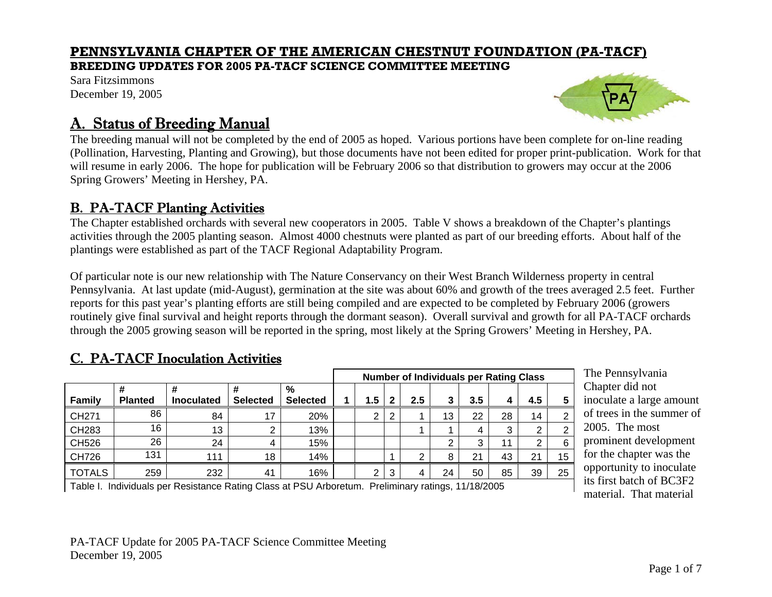### **PENNSYLVANIA CHAPTER OF THE AMERICAN CHESTNUT FOUNDATION (PA-TACF)**

#### **BREEDING UPDATES FOR 2005 PA-TACF SCIENCE COMMITTEE MEETING**

Sara Fitzsimmons December 19, 2005



# A. Status of Breeding Manual

The breeding manual will not be completed by the end of 2005 as hoped. Various portions have been complete for on-line reading (Pollination, Harvesting, Planting and Growing), but those documents have not been edited for proper print-publication. Work for that will resume in early 2006. The hope for publication will be February 2006 so that distribution to growers may occur at the 2006 Spring Growers' Meeting in Hershey, PA.

### B. PA-TACF Planting Activities

The Chapter established orchards with several new cooperators in 2005. Table V shows a breakdown of the Chapter's plantings activities through the 2005 planting season. Almost 4000 chestnuts were planted as part of our breeding efforts. About half of the plantings were established as part of the TACF Regional Adaptability Program.

Of particular note is our new relationship with The Nature Conservancy on their West Branch Wilderness property in central Pennsylvania. At last update (mid-August), germination at the site was about 60% and growth of the trees averaged 2.5 feet. Further reports for this past year's planting efforts are still being compiled and are expected to be completed by February 2006 (growers routinely give final survival and height reports through the dormant season). Overall survival and growth for all PA-TACF orchards through the 2005 growing season will be reported in the spring, most likely at the Spring Growers' Meeting in Hershey, PA.

### C. PA-TACF Inoculation Activities

|               |                     |                        |                      |                      | <b>Number of Individuals per Rating Class</b> |     |   |     |    |                |    |     |                |
|---------------|---------------------|------------------------|----------------------|----------------------|-----------------------------------------------|-----|---|-----|----|----------------|----|-----|----------------|
| <b>Family</b> | #<br><b>Planted</b> | #<br><b>Inoculated</b> | ₩<br><b>Selected</b> | %<br><b>Selected</b> |                                               | 1.5 | 2 | 2.5 | 3  | 3.5            |    | 4.5 | 5              |
| CH271         | 86                  | 84                     | 17                   | 20%                  |                                               | ◠   | 2 |     | 13 | 22             | 28 | 14  | $\overline{2}$ |
| CH283         | 16                  | 13                     | ◠                    | 13%                  |                                               |     |   |     |    |                | 3  | 2   | 2              |
| CH526         | 26                  | 24                     | 4                    | 15%                  |                                               |     |   |     | ⌒  |                | 11 | ົ   | 6              |
| CH726         | 131                 | 111                    | 18                   | 14%                  |                                               |     |   | ົ   | 8  | 2 <sup>1</sup> | 43 | 21  | 15             |
| <b>TOTALS</b> | 259                 | 232                    | 41                   | 16%                  |                                               | ◠   | 3 | 4   | 24 | 50             | 85 | 39  | 25             |

The Pennsylvania Chapter did not inoculate a large amount of trees in the summer of 2005. The most prominent development for the chapter was the opportunity to inoculate its first batch of BC3F2 material. That material

Table I. Individuals per Resistance Rating Class at PSU Arboretum. Preliminary ratings, 11/18/2005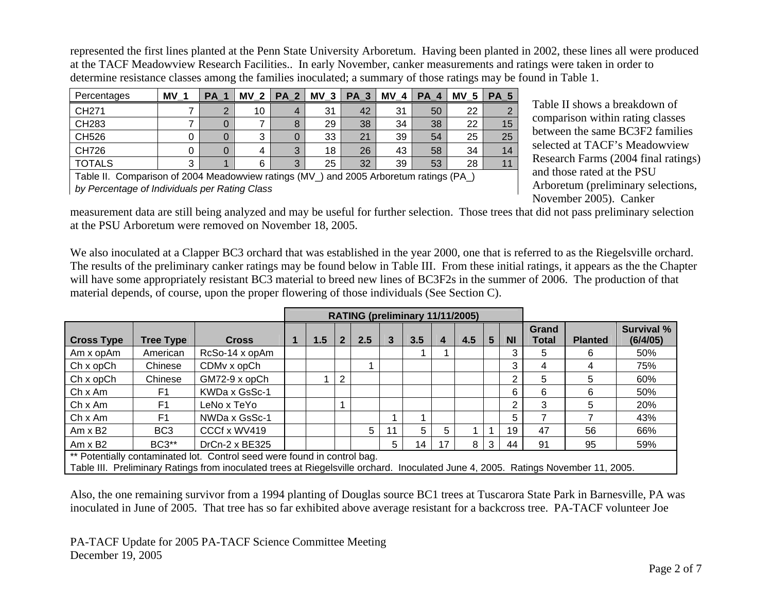represented the first lines planted at the Penn State University Arboretum. Having been planted in 2002, these lines all were produced at the TACF Meadowview Research Facilities.. In early November, canker measurements and ratings were taken in order to determine resistance classes among the families inoculated; a summary of those ratings may be found in Table 1.

| Percentages   | ΜV | <b>PA</b> | <b>MV</b><br>າ | <b>PA</b><br><u>ຼາ</u> | ΜV<br>- 3 | <b>PA</b><br>-2<br>$\overline{\phantom{a}}$ | MV<br>4 | <b>PA</b> | ΜV<br>w | РA |
|---------------|----|-----------|----------------|------------------------|-----------|---------------------------------------------|---------|-----------|---------|----|
| CH271         |    | ◠         | 10             |                        | 31        | 42                                          | 31      | 50        | 22      |    |
| CH283         |    |           |                |                        | 29        | 38                                          | 34      | 38        | 22      | 15 |
| CH526         |    | 0         | ◠<br>د         |                        | 33        | 21                                          | 39      | 54        | 25      | 25 |
| CH726         |    | O         | 4              | 3                      | 18        | 26                                          | 43      | 58        | 34      |    |
| <b>TOTALS</b> | ົ  |           | 6              | 2<br>◡                 | 25        | 32                                          | 39      | 53        | 28      |    |

Table II. Comparison of 2004 Meadowview ratings (MV\_) and 2005 Arboretum ratings (PA\_) *by Percentage of Individuals per Rating Class*

Table II shows a breakdown of comparison within rating classes between the same BC3F2 families selected at TACF's Meadowview Research Farms (2004 final ratings) and those rated at the PSU Arboretum (preliminary selections, November 2005). Canker

measurement data are still being analyzed and may be useful for further selection. Those trees that did not pass preliminary selection at the PSU Arboretum were removed on November 18, 2005.

We also inoculated at a Clapper BC3 orchard that was established in the year 2000, one that is referred to as the Riegelsville orchard. The results of the preliminary canker ratings may be found below in Table III. From these initial ratings, it appears as the the Chapter will have some appropriately resistant BC3 material to breed new lines of BC3F2s in the summer of 2006. The production of that material depends, of course, upon the proper flowering of those individuals (See Section C).

|                                                                                                                          |                                                                          |                                                                                                                                   |  | RATING (preliminary 11/11/2005) |                |     |    |     |   |     |                 |           |                |                |                               |
|--------------------------------------------------------------------------------------------------------------------------|--------------------------------------------------------------------------|-----------------------------------------------------------------------------------------------------------------------------------|--|---------------------------------|----------------|-----|----|-----|---|-----|-----------------|-----------|----------------|----------------|-------------------------------|
| <b>Cross Type</b>                                                                                                        | <b>Tree Type</b>                                                         | <b>Cross</b>                                                                                                                      |  | 1.5                             | 2 <sup>2</sup> | 2.5 | 3  | 3.5 | 4 | 4.5 | $5\phantom{.0}$ | <b>NI</b> | Grand<br>Total | <b>Planted</b> | <b>Survival %</b><br>(6/4/05) |
| Am x opAm                                                                                                                | American                                                                 | RcSo-14 x opAm                                                                                                                    |  |                                 |                |     |    |     |   |     |                 | 3         | 5              | 6              | 50%                           |
| $Chx$ op $Ch$                                                                                                            | Chinese                                                                  | CDM <sub>v</sub> x opCh                                                                                                           |  |                                 |                |     |    |     |   |     |                 | 3         | 4              | 4              | 75%                           |
| $Chx$ op $Ch$                                                                                                            | Chinese                                                                  | GM72-9 x opCh                                                                                                                     |  |                                 | $\overline{2}$ |     |    |     |   |     |                 | າ         | 5              | 5              | 60%                           |
| $Ch \times Am$                                                                                                           | F1                                                                       | KWDa x GsSc-1                                                                                                                     |  |                                 |                |     |    |     |   |     |                 | 6.        | 6              | 6              | 50%                           |
| ChxAm                                                                                                                    | F <sub>1</sub>                                                           | LeNo x TeYo                                                                                                                       |  |                                 |                |     |    |     |   |     |                 | ົ         | 3              | 5              | 20%                           |
| Ch x Am                                                                                                                  | F <sub>1</sub>                                                           | NWDa x GsSc-1                                                                                                                     |  |                                 |                |     |    |     |   |     |                 | 5.        |                |                | 43%                           |
| $Am \times B2$                                                                                                           | BC <sub>3</sub>                                                          | CCCf x WV419                                                                                                                      |  |                                 |                | 5   | 11 | 5   | 5 |     |                 | 19        | 47             | 56             | 66%                           |
| 3<br><b>BC3**</b><br>$DrCn-2 \times BE325$<br>5<br>8<br>59%<br>17<br>91<br>95<br>$Am \times B2$<br>44<br>14 <sub>1</sub> |                                                                          |                                                                                                                                   |  |                                 |                |     |    |     |   |     |                 |           |                |                |                               |
|                                                                                                                          | ** Potentially contaminated lot. Control seed were found in control bag. |                                                                                                                                   |  |                                 |                |     |    |     |   |     |                 |           |                |                |                               |
|                                                                                                                          |                                                                          | Table III. Preliminary Ratings from inoculated trees at Riegelsville orchard. Inoculated June 4, 2005. Ratings November 11, 2005. |  |                                 |                |     |    |     |   |     |                 |           |                |                |                               |

Also, the one remaining survivor from a 1994 planting of Douglas source BC1 trees at Tuscarora State Park in Barnesville, PA was inoculated in June of 2005. That tree has so far exhibited above average resistant for a backcross tree. PA-TACF volunteer Joe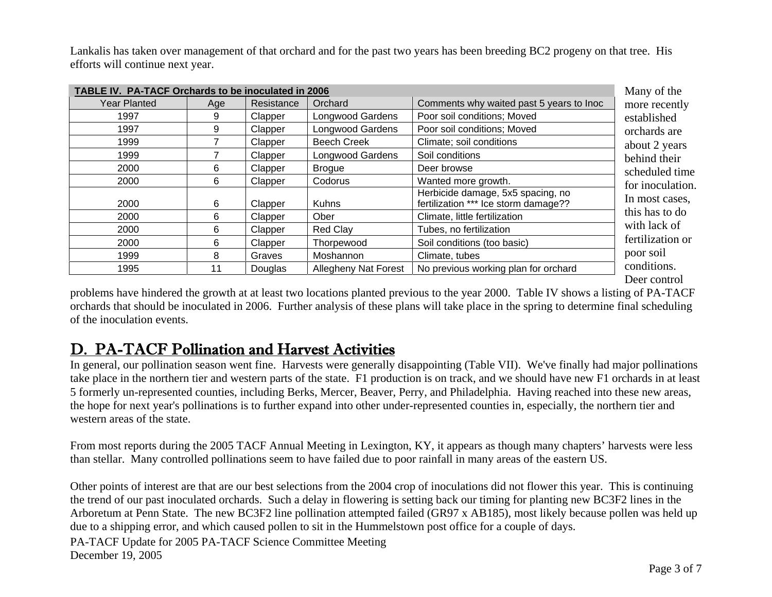Lankalis has taken over management of that orchard and for the past two years has been breeding BC2 progeny on that tree. His efforts will continue next year.

| TABLE IV. PA-TACF Orchards to be inoculated in 2006 |     |            |                             |                                                                           | Many of the     |
|-----------------------------------------------------|-----|------------|-----------------------------|---------------------------------------------------------------------------|-----------------|
| Year Planted                                        | Age | Resistance | Orchard                     | Comments why waited past 5 years to Inoc                                  | more recentl    |
| 1997                                                | 9   | Clapper    | <b>Longwood Gardens</b>     | Poor soil conditions; Moved                                               | established     |
| 1997                                                | 9   | Clapper    | Longwood Gardens            | Poor soil conditions; Moved                                               | orchards are    |
| 1999                                                |     | Clapper    | <b>Beech Creek</b>          | Climate; soil conditions                                                  | about 2 years   |
| 1999                                                |     | Clapper    | Longwood Gardens            | Soil conditions                                                           | behind their    |
| 2000                                                | 6   | Clapper    | <b>Brogue</b>               | Deer browse                                                               | scheduled tir   |
| 2000                                                | 6   | Clapper    | Codorus                     | Wanted more growth.                                                       | for inoculation |
| 2000                                                | 6   | Clapper    | <b>Kuhns</b>                | Herbicide damage, 5x5 spacing, no<br>fertilization *** Ice storm damage?? | In most cases   |
| 2000                                                | 6   | Clapper    | Ober                        | Climate, little fertilization                                             | this has to do  |
| 2000                                                | 6   | Clapper    | <b>Red Clav</b>             | Tubes, no fertilization                                                   | with lack of    |
| 2000                                                | 6   | Clapper    | Thorpewood                  | Soil conditions (too basic)                                               | fertilization   |
| 1999                                                | 8   | Graves     | Moshannon                   | Climate, tubes                                                            | poor soil       |
| 1995                                                | 11  | Douglas    | <b>Allegheny Nat Forest</b> | No previous working plan for orchard                                      | conditions.     |

tly orchards are rs behind their ime ion. es, this has to do with lack of or Deer control

problems have hindered the growth at at least two locations planted previous to the year 2000. Table IV shows a listing of PA-TACF orchards that should be inoculated in 2006. Further analysis of these plans will take place in the spring to determine final scheduling of the inoculation events.

# D. PA-TACF Pollination and Harvest Activities

In general, our pollination season went fine. Harvests were generally disappointing (Table VII). We've finally had major pollinations take place in the northern tier and western parts of the state. F1 production is on track, and we should have new F1 orchards in at least 5 formerly un-represented counties, including Berks, Mercer, Beaver, Perry, and Philadelphia. Having reached into these new areas, the hope for next year's pollinations is to further expand into other under-represented counties in, especially, the northern tier and western areas of the state.

From most reports during the 2005 TACF Annual Meeting in Lexington, KY, it appears as though many chapters' harvests were less than stellar. Many controlled pollinations seem to have failed due to poor rainfall in many areas of the eastern US.

Other points of interest are that are our best selections from the 2004 crop of inoculations did not flower this year. This is continuing the trend of our past inoculated orchards. Such a delay in flowering is setting back our timing for planting new BC3F2 lines in the Arboretum at Penn State. The new BC3F2 line pollination attempted failed (GR97 x AB185), most likely because pollen was held up due to a shipping error, and which caused pollen to sit in the Hummelstown post office for a couple of days.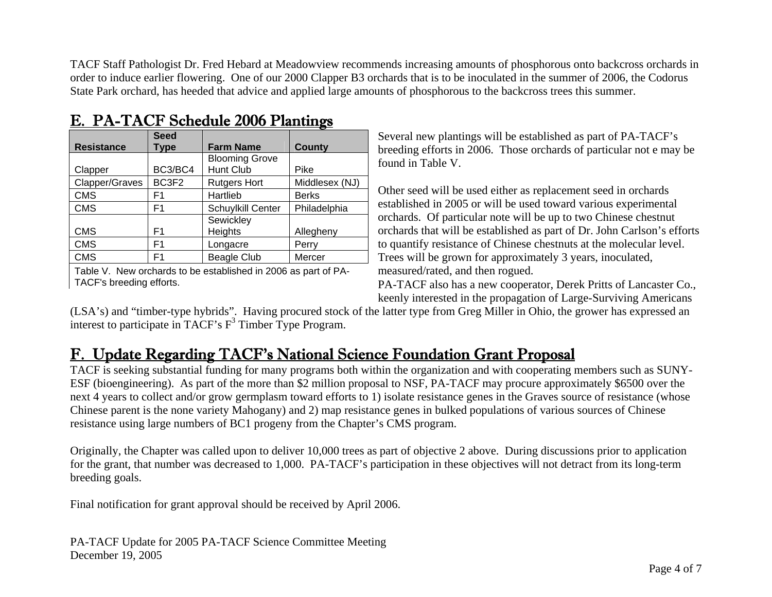TACF Staff Pathologist Dr. Fred Hebard at Meadowview recommends increasing amounts of phosphorous onto backcross orchards in order to induce earlier flowering. One of our 2000 Clapper B3 orchards that is to be inoculated in the summer of 2006, the Codorus State Park orchard, has heeded that advice and applied large amounts of phosphorous to the backcross trees this summer.

|                   | <b>Seed</b>    |                          |                |
|-------------------|----------------|--------------------------|----------------|
| <b>Resistance</b> | Type           | <b>Farm Name</b>         | County         |
|                   |                | <b>Blooming Grove</b>    |                |
| Clapper           | BC3/BC4        | Hunt Club                | Pike           |
| Clapper/Graves    | BC3F2          | <b>Rutgers Hort</b>      | Middlesex (NJ) |
| <b>CMS</b>        | F1             | Hartlieb                 | <b>Berks</b>   |
| <b>CMS</b>        | F1             | <b>Schuylkill Center</b> | Philadelphia   |
|                   |                | Sewickley                |                |
| CMS               | F1             | Heights                  | Allegheny      |
| <b>CMS</b>        | F1             | Longacre                 | Perry          |
| <b>CMS</b>        | F <sub>1</sub> | <b>Beagle Club</b>       | Mercer         |

# E. PA-TACF Schedule 2006 Plantings

Table V. New orchards to be established in 2006 as part of PA-TACF's breeding efforts.

Several new plantings will be established as part of PA-TACF's breeding efforts in 2006. Those orchards of particular not e may be found in Table V.

Other seed will be used either as replacement seed in orchards established in 2005 or will be used toward various experimental orchards. Of particular note will be up to two Chinese chestnut orchards that will be established as part of Dr. John Carlson's efforts to quantify resistance of Chinese chestnuts at the molecular level. Trees will be grown for approximately 3 years, inoculated, measured/rated, and then rogued.

PA-TACF also has a new cooperator, Derek Pritts of Lancaster Co., keenly interested in the propagation of Large-Surviving Americans

(LSA's) and "timber-type hybrids". Having procured stock of the latter type from Greg Miller in Ohio, the grower has expressed an interest to participate in TACF's  $F<sup>3</sup>$  Timber Type Program.

# F. Update Regarding TACF's National Science Foundation Grant Proposal

TACF is seeking substantial funding for many programs both within the organization and with cooperating members such as SUNY-ESF (bioengineering). As part of the more than \$2 million proposal to NSF, PA-TACF may procure approximately \$6500 over the next 4 years to collect and/or grow germplasm toward efforts to 1) isolate resistance genes in the Graves source of resistance (whose Chinese parent is the none variety Mahogany) and 2) map resistance genes in bulked populations of various sources of Chinese resistance using large numbers of BC1 progeny from the Chapter's CMS program.

Originally, the Chapter was called upon to deliver 10,000 trees as part of objective 2 above. During discussions prior to application for the grant, that number was decreased to 1,000. PA-TACF's participation in these objectives will not detract from its long-term breeding goals.

Final notification for grant approval should be received by April 2006.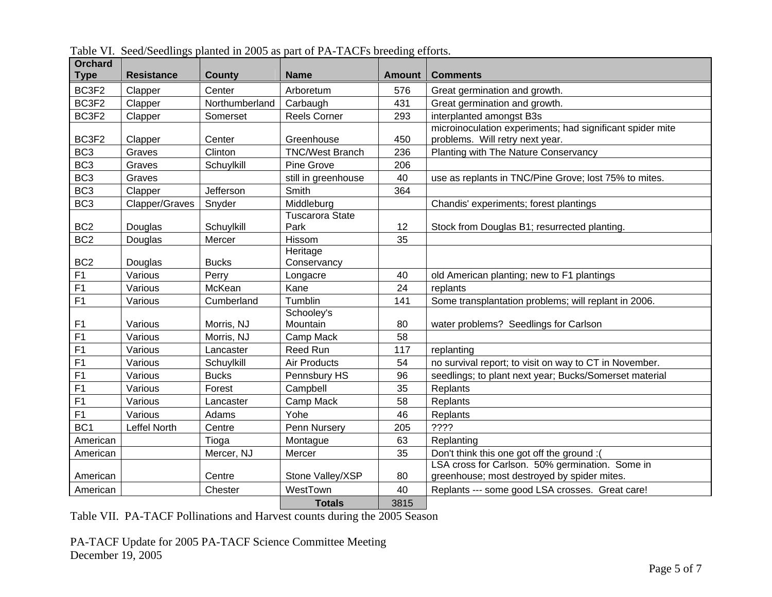| <b>Orchard</b><br><b>Type</b> | <b>Resistance</b> | <b>County</b>  | <b>Name</b>                    | <b>Amount</b> | <b>Comments</b>                                                                                |
|-------------------------------|-------------------|----------------|--------------------------------|---------------|------------------------------------------------------------------------------------------------|
| BC3F2                         | Clapper           | Center         | Arboretum                      | 576           | Great germination and growth.                                                                  |
| BC3F2                         | Clapper           | Northumberland | Carbaugh                       | 431           | Great germination and growth.                                                                  |
| BC3F2                         | Clapper           | Somerset       | <b>Reels Corner</b>            | 293           | interplanted amongst B3s                                                                       |
| BC3F2                         | Clapper           | Center         | Greenhouse                     | 450           | microinoculation experiments; had significant spider mite<br>problems. Will retry next year.   |
| BC <sub>3</sub>               | Graves            | Clinton        | <b>TNC/West Branch</b>         | 236           | Planting with The Nature Conservancy                                                           |
| BC <sub>3</sub>               | Graves            | Schuylkill     | Pine Grove                     | 206           |                                                                                                |
| BC <sub>3</sub>               | Graves            |                | still in greenhouse            | 40            | use as replants in TNC/Pine Grove; lost 75% to mites.                                          |
| BC <sub>3</sub>               | Clapper           | Jefferson      | Smith                          | 364           |                                                                                                |
| BC <sub>3</sub>               | Clapper/Graves    | Snyder         | Middleburg                     |               | Chandis' experiments; forest plantings                                                         |
| BC <sub>2</sub>               | Douglas           | Schuylkill     | <b>Tuscarora State</b><br>Park | 12            | Stock from Douglas B1; resurrected planting.                                                   |
| BC <sub>2</sub>               | Douglas           | Mercer         | Hissom                         | 35            |                                                                                                |
| BC <sub>2</sub>               | Douglas           | <b>Bucks</b>   | Heritage<br>Conservancy        |               |                                                                                                |
| F <sub>1</sub>                | Various           | Perry          | Longacre                       | 40            | old American planting; new to F1 plantings                                                     |
| F1                            | Various           | McKean         | Kane                           | 24            | replants                                                                                       |
| F1                            | Various           | Cumberland     | Tumblin                        | 141           | Some transplantation problems; will replant in 2006.                                           |
| F <sub>1</sub>                | Various           | Morris, NJ     | Schooley's<br>Mountain         | 80            | water problems? Seedlings for Carlson                                                          |
| F <sub>1</sub>                | Various           | Morris, NJ     | Camp Mack                      | 58            |                                                                                                |
| F <sub>1</sub>                | Various           | Lancaster      | <b>Reed Run</b>                | 117           | replanting                                                                                     |
| F <sub>1</sub>                | Various           | Schuylkill     | Air Products                   | 54            | no survival report; to visit on way to CT in November.                                         |
| F <sub>1</sub>                | Various           | <b>Bucks</b>   | Pennsbury HS                   | 96            | seedlings; to plant next year; Bucks/Somerset material                                         |
| F1                            | Various           | Forest         | Campbell                       | 35            | Replants                                                                                       |
| F1                            | Various           | Lancaster      | Camp Mack                      | 58            | Replants                                                                                       |
| F1                            | Various           | Adams          | Yohe                           | 46            | Replants                                                                                       |
| BC <sub>1</sub>               | Leffel North      | Centre         | Penn Nursery                   | 205           | ????                                                                                           |
| American                      |                   | Tioga          | Montague                       | 63            | Replanting                                                                                     |
| American                      |                   | Mercer, NJ     | Mercer                         | 35            | Don't think this one got off the ground:                                                       |
| American                      |                   | Centre         | Stone Valley/XSP               | 80            | LSA cross for Carlson. 50% germination. Some in<br>greenhouse; most destroyed by spider mites. |
| American                      |                   | Chester        | WestTown                       | 40            | Replants --- some good LSA crosses. Great care!                                                |
|                               |                   |                | <b>Totals</b>                  | 3815          |                                                                                                |

Table VI. Seed/Seedlings planted in 2005 as part of PA-TACFs breeding efforts.

Table VII. PA-TACF Pollinations and Harvest counts during the 2005 Season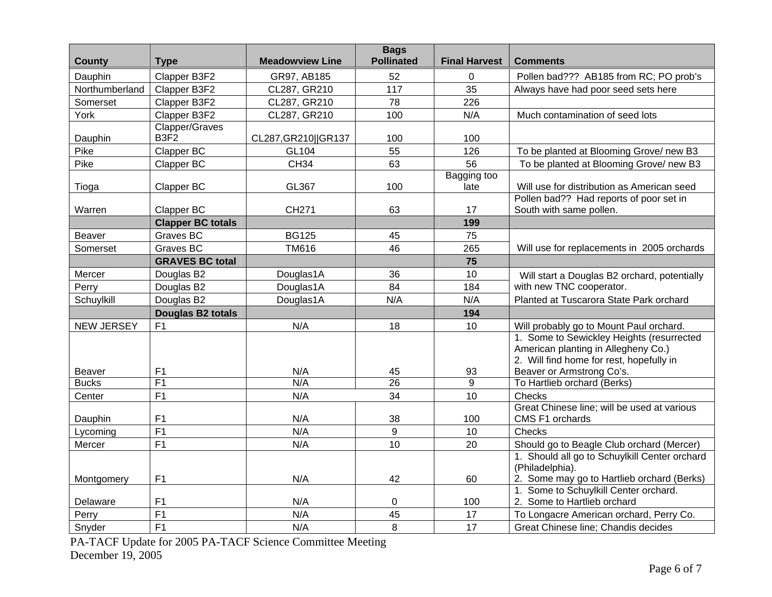| <b>County</b>                 | <b>Type</b>                        | <b>Meadowview Line</b> | <b>Bags</b><br><b>Pollinated</b> | <b>Final Harvest</b> | <b>Comments</b>                                                                                                              |
|-------------------------------|------------------------------------|------------------------|----------------------------------|----------------------|------------------------------------------------------------------------------------------------------------------------------|
| Dauphin                       | Clapper B3F2                       | GR97, AB185            | 52                               | 0                    | Pollen bad??? AB185 from RC; PO prob's                                                                                       |
| Northumberland                | Clapper B3F2                       | CL287, GR210           | 117                              | 35                   | Always have had poor seed sets here                                                                                          |
| Somerset                      | Clapper B3F2                       | CL287, GR210           | 78                               | 226                  |                                                                                                                              |
| York                          | Clapper B3F2                       | CL287, GR210           | 100                              | N/A                  | Much contamination of seed lots                                                                                              |
| Dauphin                       | Clapper/Graves<br>B <sub>3F2</sub> | CL287, GR210   GR137   | 100                              | 100                  |                                                                                                                              |
| Pike                          | Clapper BC                         | GL104                  | 55                               | 126                  | To be planted at Blooming Grove/ new B3                                                                                      |
| Pike                          | Clapper BC                         | <b>CH34</b>            | 63                               | 56                   | To be planted at Blooming Grove/ new B3                                                                                      |
| Tioga                         | Clapper BC                         | GL367                  | 100                              | Bagging too<br>late  | Will use for distribution as American seed                                                                                   |
| Warren                        | Clapper BC                         | CH271                  | 63                               | 17                   | Pollen bad?? Had reports of poor set in<br>South with same pollen.                                                           |
|                               | <b>Clapper BC totals</b>           |                        |                                  | 199                  |                                                                                                                              |
| <b>Beaver</b>                 | Graves BC                          | <b>BG125</b>           | 45                               | 75                   |                                                                                                                              |
| Somerset                      | Graves BC                          | <b>TM616</b>           | 46                               | 265                  | Will use for replacements in 2005 orchards                                                                                   |
|                               | <b>GRAVES BC total</b>             |                        |                                  | 75                   |                                                                                                                              |
| Mercer                        | Douglas B2                         | Douglas1A              | 36                               | 10                   | Will start a Douglas B2 orchard, potentially                                                                                 |
| Perry                         | Douglas B2                         | Douglas1A              | 84                               | 184                  | with new TNC cooperator.                                                                                                     |
| Schuylkill                    | Douglas B2                         | Douglas1A              | N/A                              | N/A                  | Planted at Tuscarora State Park orchard                                                                                      |
|                               | Douglas B2 totals                  |                        |                                  | 194                  |                                                                                                                              |
| <b>NEW JERSEY</b>             | F <sub>1</sub>                     | N/A                    | 18                               | 10                   | Will probably go to Mount Paul orchard.                                                                                      |
|                               |                                    |                        |                                  |                      | 1. Some to Sewickley Heights (resurrected<br>American planting in Allegheny Co.)<br>2. Will find home for rest, hopefully in |
| <b>Beaver</b><br><b>Bucks</b> | F <sub>1</sub><br>F1               | N/A<br>N/A             | 45<br>$\overline{26}$            | 93<br>$\overline{9}$ | Beaver or Armstrong Co's.<br>To Hartlieb orchard (Berks)                                                                     |
| Center                        | F1                                 | N/A                    | 34                               | 10                   | Checks                                                                                                                       |
|                               |                                    |                        |                                  |                      | Great Chinese line; will be used at various                                                                                  |
| Dauphin                       | F <sub>1</sub>                     | N/A                    | 38                               | 100                  | CMS F1 orchards                                                                                                              |
| Lycoming                      | F1                                 | N/A                    | $\boldsymbol{9}$                 | 10                   | Checks                                                                                                                       |
| Mercer                        | F1                                 | N/A                    | 10                               | 20                   | Should go to Beagle Club orchard (Mercer)                                                                                    |
| Montgomery                    | F1                                 | N/A                    | 42                               | 60                   | 1. Should all go to Schuylkill Center orchard<br>(Philadelphia).<br>2. Some may go to Hartlieb orchard (Berks)               |
|                               |                                    |                        |                                  |                      | 1. Some to Schuylkill Center orchard.                                                                                        |
| Delaware                      | F1                                 | N/A                    | 0                                | 100                  | 2. Some to Hartlieb orchard                                                                                                  |
| Perry                         | F1                                 | N/A                    | 45                               | 17                   | To Longacre American orchard, Perry Co.                                                                                      |
| Snyder                        | F1                                 | N/A                    | 8                                | 17                   | Great Chinese line; Chandis decides                                                                                          |